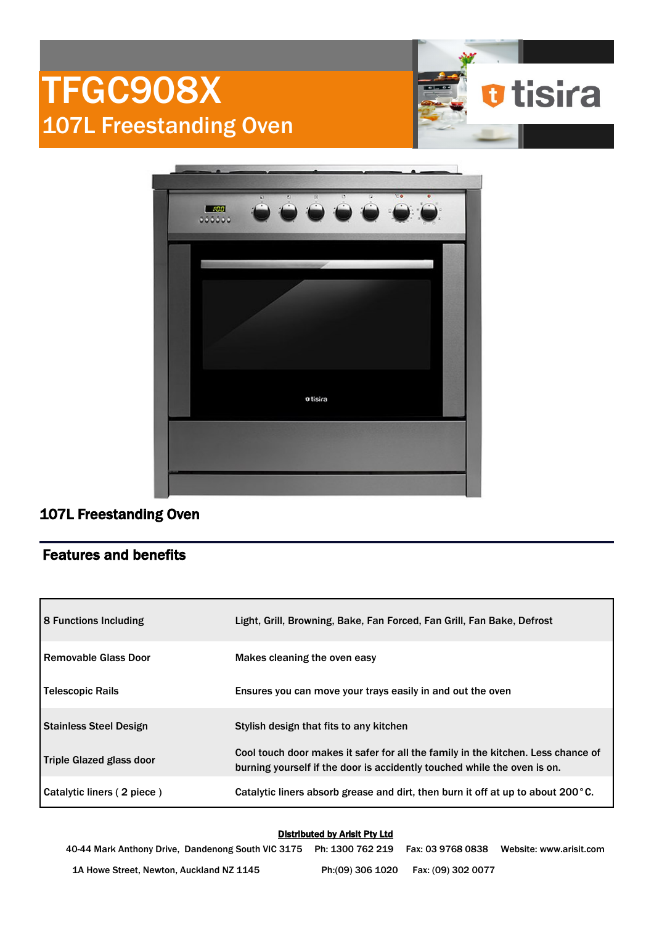

## Features and benefits

107L Freestanding Oven

| 8 Functions Including           | Light, Grill, Browning, Bake, Fan Forced, Fan Grill, Fan Bake, Defrost                                                                                       |
|---------------------------------|--------------------------------------------------------------------------------------------------------------------------------------------------------------|
| <b>Removable Glass Door</b>     | Makes cleaning the oven easy                                                                                                                                 |
| <b>Telescopic Rails</b>         | Ensures you can move your trays easily in and out the oven                                                                                                   |
| <b>Stainless Steel Design</b>   | Stylish design that fits to any kitchen                                                                                                                      |
| <b>Triple Glazed glass door</b> | Cool touch door makes it safer for all the family in the kitchen. Less chance of<br>burning yourself if the door is accidently touched while the oven is on. |
| Catalytic liners (2 piece)      | Catalytic liners absorb grease and dirt, then burn it off at up to about 200°C.                                                                              |

## Distributed by Arisit Pty Ltd

40-44 Mark Anthony Drive, Dandenong South VIC 3175 Ph: 1300 762 219 Fax: 03 9768 0838 Website: www.arisit.com 1A Howe Street, Newton, Auckland NZ 1145 Ph:(09) 306 1020 Fax: (09) 302 0077